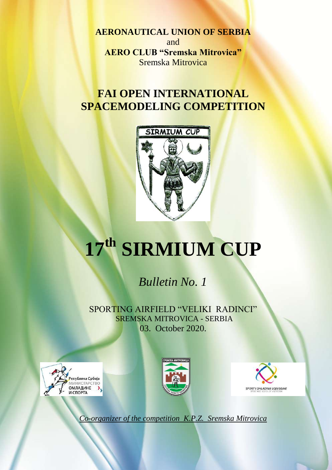**AERONAUTICAL UNION OF SERBIA** and **AERO CLUB "Sremska Mitrovica"** Sremska Mitrovica

# **FAI OPEN INTERNATIONAL SPACEMODELING COMPETITION**



# **17 th SIRMIUM CUP**

# *Bulletin No. 1*

SPORTING AIRFIELD "VELIKI RADINCI" SREMSKA MITROVICA - SERBIA 03. October 2020.







*Co-organizer of the competition K.P.Z. Sremska Mitrovica*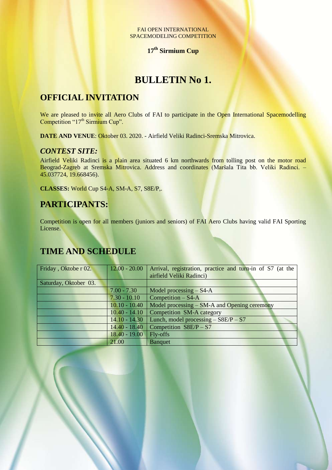#### FAI OPEN INTERNATIONAL SPACEMODELING COMPETITION

## **17 th Sirmium Cup**

## **BULLETIN No 1.**

## **OFFICIAL INVITATION**

We are pleased to invite all Aero Clubs of FAI to participate in the Open International Spacemodelling Competition "17<sup>th</sup> Sirmium Cup".

**DATE AND VENUE**: Oktober 03. 2020. - Airfield Veliki Radinci-Sremska Mitrovica.

## *CONTEST SITE:*

Airfield Veliki Radinci is a plain area situated 6 km northwards from tolling post on the motor road Beograd-Zagreb at Sremska Mitrovica. Address and coordinates (Maršala Tita bb. Veliki Radinci. – 45.037724, 19.668456).

**CLASSES:** World Cup S4-A, SМ-A, S7, S8E/P,.

## **PARTICIPANTS:**

Competition is open for all members (juniors and seniors) of FAI Aero Clubs having valid FAI Sporting License.

## **TIME AND SCHEDULE**

| Friday, Oktobe r 02.  | $12.00 - 20.00$ | Arrival, registration, practice and turn-in of S7 (at the<br>airfield Veliki Radinci) |
|-----------------------|-----------------|---------------------------------------------------------------------------------------|
| Saturday, Oktober 03. |                 |                                                                                       |
|                       | $7.00 - 7.30$   | Model processing $-$ S4-A                                                             |
|                       | $7.30 - 10.10$  | Competition $-$ S4-A                                                                  |
|                       | $10.10 - 10.40$ | Model processing $-$ SM-A and Opening ceremony                                        |
|                       | $10.40 - 14.10$ | Competition SM-A category                                                             |
|                       | $14.10 - 14.30$ | Lunch, model processing $-$ S8E/P $-$ S7                                              |
|                       | $14.40 - 18.40$ | Competition $S8E/P - S7$                                                              |
|                       | $18.40 - 19.00$ | Fly-offs                                                                              |
|                       | 21.00           | <b>Banquet</b>                                                                        |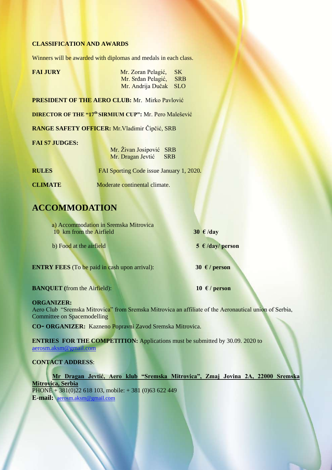#### **CLASSIFICATION AND AWARDS**

Winners will be awarded with diplomas and medals in each class.

| <b>FAI JURY</b> | Mr. Zoran Pelagić, SK  |  |
|-----------------|------------------------|--|
|                 | Mr. Srđan Pelagić, SRB |  |
|                 | Mr. Andrija Dučak SLO  |  |

**PRESIDENT OF THE AERO CLUB:** Mr. Mirko Pavlović

**DIRECTOR OF THE "17 th SIRMIUM CUP":** Mr. Pero Malešević

**RANGE SAFETY OFFICER:** Mr.Vladimir Čipčić, SRB

#### **FAI S7 JUDGES:**

| Mr. Živan Josipović SRB |  |
|-------------------------|--|
| Mr. Dragan Jevtić SRB   |  |

**RULES FAI Sporting Code issue January 1, 2020.** 

**CLIMATE** Moderate continental climate.

## **ACCOMMODATION**

| a) Accommodation in Sremska Mitrovica<br>10 km from the Airfield | 30 $\epsilon$ /day           |
|------------------------------------------------------------------|------------------------------|
| b) Food at the airfield                                          | $5 \text{ }\in$ /day/ person |

**ENTRY FEES** (To be paid in cash upon arrival): **30**  $\epsilon$  / person

**BANQUET** (from the Airfield):  $10 \text{ } \in / \text{person}$ 

#### **ORGANIZER:**

Aero Club "Sremska Mitrovica" from Sremska Mitrovica an affiliate of the Aeronautical union of Serbia, Committee on Spacemodelling

**CO- ORGANIZER:** Kazneno Popravni Zavod Sremska Mitrovica.

**ENTRIES FOR THE COMPETITION:** Applications must be submitted by 30.09. 2020 to aerosm.aksm@gmail.com

#### **CONTACT ADDRESS**:

**Mr Dragan Jevtić, Aero klub "Sremska Mitrovica", Zmaj Jovina 2A, 22000 Sremska Mitrovica, Serbia**  $PHONE + 381(0)22618103$ , mobile: + 381 (0)63 622 449 **E-mail:** aerosm.aksm@gmail.com